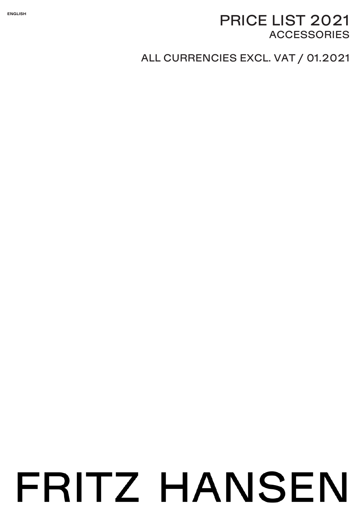#### **ENGLISH**

# PRICE LIST <sup>2021</sup> **ACCESSORIES**

# ALL CURRENCIES EXCL. VAT / 01.2021

# FRITZ HANSEN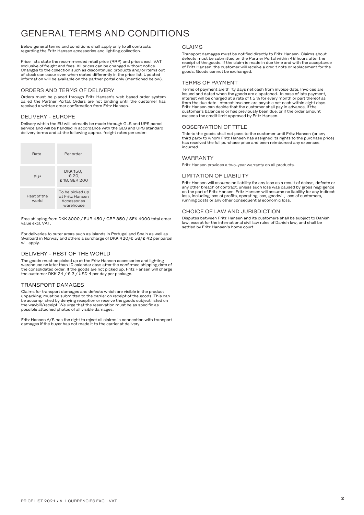# GENERAL TERMS AND CONDITIONS

#### Below general terms and conditions shall apply only to all contracts regarding the Fritz Hansen accessories and lighting collection.

Price lists state the recommended retail price (RRP) and prices excl. VAT exclusive of freight and fees. All prices can be changed without notice. Changes to the collection such as discontinued products and/or items out of stock can occur even when stated differently in the price list. Updated information will be available on the partner portal only (mentioned below).

#### ORDERS AND TERMS OF DELIVERY

Orders must be placed through Fritz Hansen's web based order system called the Partner Portal. Orders are not binding until the customer has received a written order confirmation from Fritz Hansen.

#### DELIVERY - EUROPE

Delivery within the EU will primarily be made through GLS and UPS parcel service and will be handled in accordance with the GLS and UPS standard delivery terms and at the following approx. freight rates per order:

| Rate                 | Per order                                                      |
|----------------------|----------------------------------------------------------------|
| $F1*$                | DKK 150,<br>€ 20,<br>£18, SEK 200                              |
| Rest of the<br>world | To be picked up<br>at Fritz Hansen<br>Accessories<br>warehouse |

Free shipping from DKK 3000 / EUR 450 / GBP 350 / SEK 4000 total order value excl. VAT.

For deliveries to outer areas such as islands in Portugal and Spain as well as Svalbard in Norway and others a surcharge of DKK 420/€ 56/£ 42 per parcel will apply.

#### DELIVERY - REST OF THE WORLD

The goods must be picked up at the Fritz Hansen accessories and lighting warehouse no later than 10 calendar days after the confirmed shipping date of the consolidated order. If the goods are not picked up, Fritz Hansen will charge the customer DKK 24 / € 3 / USD 4 per day per package.

#### TRANSPORT DAMAGES

Claims for transport damages and defects which are visible in the product unpacking, must be submitted to the carrier on receipt of the goods. This can be accomplished by denying reception or receive the goods subject listed on the waybill/receipt. We urge that the reservation must be as specific as possible attached photos of all visible damages.

Fritz Hansen A/S has the right to reject all claims in connection with transport damages if the buyer has not made it to the carrier at delivery.

#### CLAIMS

Transport damages must be notified directly to Fritz Hansen. Claims about defects must be submitted on the Partner Portal within 48 hours after the receipt of the goods. If the claim is made in due time and with the acceptance of Fritz Hansen, the customer will receive a credit note or replacement for the goods. Goods cannot be exchanged.

#### TERMS OF PAYMENT

Terms of payment are thirty days net cash from invoice date. Invoices are issued and dated when the goods are dispatched. In case of late payment, interest will be charged at a rate of 1.5 % for every month or part thereof as from the due date. Interest invoices are payable net cash within eight days. Fritz Hansen can decide that the customer shall pay in advance, if the customer's balance is or has previously been due, or if the order amount exceeds the credit limit approved by Fritz Hansen.

#### OBSERVATION OF TITLE

Title to the goods shall not pass to the customer until Fritz Hansen (or any third party to whom Fritz Hansen has assigned its rights to the purchase price) has received the full purchase price and been reimbursed any expenses incurred.

#### WARRANTY

Fritz Hansen provides a two-year warranty on all products.

#### LIMITATION OF LIABILITY

Fritz Hansen will assume no liability for any loss as a result of delays, defects or any other breach of contract, unless such loss was caused by gross negligence on the part of Fritz Hansen. Fritz Hansen will assume no liability for any indirect loss, including loss of profits, operating loss, goodwill, loss of customers, running costs or any other consequential economic loss.

#### CHOICE OF LAW AND JURISDICTION

Disputes between Fritz Hansen and its customers shall be subject to Danish law, except for the international civil law rules of Danish law, and shall be settled by Fritz Hansen's home court.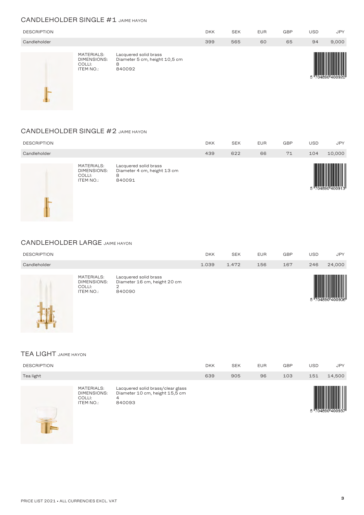#### CANDLEHOLDER SINGLE #1 JAIME HAYON

| <b>DESCRIPTION</b> |                                                         |                                                                       | <b>DKK</b> | <b>SEK</b> | <b>EUR</b> | <b>GBP</b> | USD | <b>JPY</b>   |
|--------------------|---------------------------------------------------------|-----------------------------------------------------------------------|------------|------------|------------|------------|-----|--------------|
| Candleholder       |                                                         |                                                                       | 399        | 565        | 60         | 65         | 94  | 9,000        |
|                    | MATERIALS:<br>DIMENSIONS:<br>COLLI:<br><b>ITEM NO.:</b> | Lacquered solid brass<br>Diameter 5 cm, height 10,5 cm<br>8<br>840092 |            |            |            |            |     | 14890 400920 |

#### CANDLEHOLDER SINGLE #2 JAIME HAYON

| <b>DESCRIPTION</b> |                                                         |                                                                     | <b>DKK</b> | <b>SEK</b> | <b>EUR</b> | <b>GBP</b> | <b>USD</b> | <b>JPY</b> |
|--------------------|---------------------------------------------------------|---------------------------------------------------------------------|------------|------------|------------|------------|------------|------------|
| Candleholder       |                                                         |                                                                     | 439        | 622        | 66         | 71         | 104        | 10,000     |
|                    | MATERIALS:<br>DIMENSIONS:<br>COLLI:<br><b>ITEM NO.:</b> | Lacquered solid brass<br>Diameter 4 cm, height 13 cm<br>8<br>840091 |            |            |            |            |            |            |

#### CANDLEHOLDER LARGE JAIME HAYON

| <b>DESCRIPTION</b> |                                                                |                                                                      | <b>DKK</b> | <b>SEK</b> | <b>EUR</b> | <b>GBP</b> | <b>USD</b> | <b>JPY</b> |
|--------------------|----------------------------------------------------------------|----------------------------------------------------------------------|------------|------------|------------|------------|------------|------------|
| Candleholder       |                                                                |                                                                      | 1.039      | 1.472      | 156        | 167        | 246        | 24,000     |
|                    | <b>MATERIALS:</b><br>DIMENSIONS:<br>COLLI:<br><b>ITEM NO.:</b> | Lacquered solid brass<br>Diameter 16 cm, height 20 cm<br>2<br>840090 |            |            |            |            |            |            |

#### TEA LIGHT JAIME HAYON

| <b>DESCRIPTION</b> |                                                                |                                                                                    | <b>DKK</b> | <b>SEK</b> | <b>EUR</b> | <b>GBP</b> | <b>USD</b> | <b>JPY</b> |
|--------------------|----------------------------------------------------------------|------------------------------------------------------------------------------------|------------|------------|------------|------------|------------|------------|
| Tea light          |                                                                |                                                                                    | 639        | 905        | 96         | 103        | 151        | 14,500     |
| T                  | MATERIALS:<br><b>DIMENSIONS:</b><br>COLLI:<br><b>ITEM NO.:</b> | Lacquered solid brass/clear glass<br>Diameter 10 cm, height 15,5 cm<br>4<br>840093 |            |            |            |            |            |            |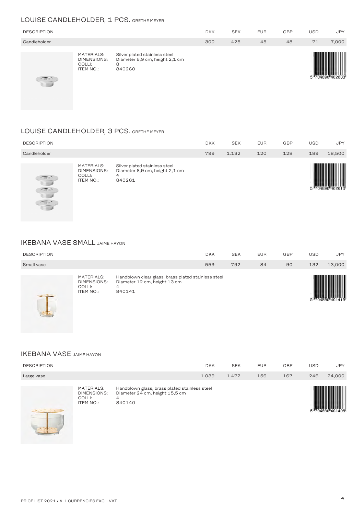## LOUISE CANDLEHOLDER, <sup>1</sup> PCS. GRETHE MEYER

| <b>DESCRIPTION</b>                                             |                                                                |                                                                                | <b>DKK</b> | <b>SEK</b> | <b>EUR</b> | <b>GBP</b> | USD | <b>JPY</b> |
|----------------------------------------------------------------|----------------------------------------------------------------|--------------------------------------------------------------------------------|------------|------------|------------|------------|-----|------------|
| Candleholder                                                   |                                                                |                                                                                | 300        | 425        | 45         | 48         | 71  | 7,000      |
| $\frac{d\overline{d}\overline{d} \overline{d}}{d\overline{d}}$ | MATERIALS:<br><b>DIMENSIONS:</b><br>COLLI:<br><b>ITEM NO.:</b> | Silver plated stainless steel<br>Diameter 6,9 cm, height 2,1 cm<br>8<br>840260 |            |            |            |            |     |            |

#### LOUISE CANDLEHOLDER, <sup>3</sup> PCS. GRETHE MEYER

| <b>DESCRIPTION</b>                                                                           |                                                         |                                                                                | <b>DKK</b> | <b>SEK</b> | <b>EUR</b> | <b>GBP</b> | USD | <b>JPY</b> |
|----------------------------------------------------------------------------------------------|---------------------------------------------------------|--------------------------------------------------------------------------------|------------|------------|------------|------------|-----|------------|
| Candleholder                                                                                 |                                                         |                                                                                | 799        | 1.132      | 120        | 128        | 189 | 18,500     |
| $\sqrt{10}$<br>$\overline{\phantom{a}}$<br>$\sqrt{2\pi}$<br><b>1. 100</b><br>$\sqrt{d\ln n}$ | MATERIALS:<br>DIMENSIONS:<br>COLLI:<br><b>ITEM NO.:</b> | Silver plated stainless steel<br>Diameter 6,9 cm, height 2,1 cm<br>4<br>840261 |            |            |            |            |     |            |

#### IKEBANA VASE SMALL JAIME HAYON

 $8 - 36$ 

| <b>DESCRIPTION</b><br>Small vase                                                                                                                                                                                                                                                                                                                                                             |                                                                |                                                                                                    | <b>DKK</b><br>559 | <b>SEK</b><br>792 | <b>EUR</b><br>84 | GBP<br>90 | <b>USD</b><br>132 | <b>JPY</b><br>13,000 |
|----------------------------------------------------------------------------------------------------------------------------------------------------------------------------------------------------------------------------------------------------------------------------------------------------------------------------------------------------------------------------------------------|----------------------------------------------------------------|----------------------------------------------------------------------------------------------------|-------------------|-------------------|------------------|-----------|-------------------|----------------------|
| $\frac{1}{2} \frac{1}{2} \frac{1}{2} \frac{1}{2} \frac{1}{2} \frac{1}{2} \frac{1}{2} \frac{1}{2} \frac{1}{2} \frac{1}{2} \frac{1}{2} \frac{1}{2} \frac{1}{2} \frac{1}{2} \frac{1}{2} \frac{1}{2} \frac{1}{2} \frac{1}{2} \frac{1}{2} \frac{1}{2} \frac{1}{2} \frac{1}{2} \frac{1}{2} \frac{1}{2} \frac{1}{2} \frac{1}{2} \frac{1}{2} \frac{1}{2} \frac{1}{2} \frac{1}{2} \frac{1}{2} \frac{$ | <b>MATERIALS:</b><br>DIMENSIONS:<br>COLLI:<br><b>ITEM NO.:</b> | Handblown clear glass, brass plated stainless steel<br>Diameter 12 cm, height 13 cm<br>4<br>840141 |                   |                   |                  |           |                   |                      |

#### IKEBANA VASE JAIME HAYON

| <b>DESCRIPTION</b> |                                                  |                                                                                                | <b>DKK</b> | <b>SEK</b> | <b>EUR</b> | <b>GBP</b> | <b>USD</b> | <b>JPY</b> |
|--------------------|--------------------------------------------------|------------------------------------------------------------------------------------------------|------------|------------|------------|------------|------------|------------|
| Large vase         |                                                  |                                                                                                | 1.039      | 1.472      | 156        | 167        | 246        | 24,000     |
| ه څخه څخه          | MATERIALS:<br>DIMENSIONS:<br>COLLI:<br>ITEM NO.: | Handblown glass, brass plated stainless steel<br>Diameter 24 cm, height 15,5 cm<br>4<br>840140 |            |            |            |            |            |            |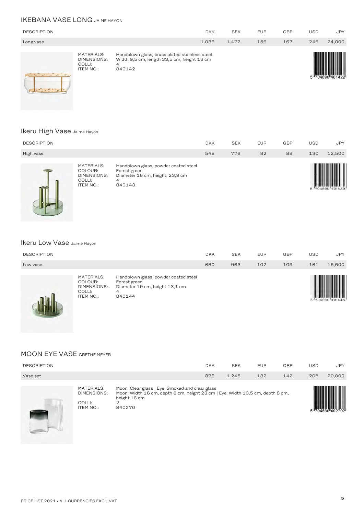## IKEBANA VASE LONG JAIME HAYON

| <b>DESCRIPTION</b>                                                                                              |                                                         |                                                                                                            | <b>DKK</b> | <b>SEK</b> | <b>EUR</b> | <b>GBP</b> | <b>USD</b> | <b>JPY</b> |
|-----------------------------------------------------------------------------------------------------------------|---------------------------------------------------------|------------------------------------------------------------------------------------------------------------|------------|------------|------------|------------|------------|------------|
| Long vase                                                                                                       |                                                         |                                                                                                            | 1.039      | 1.472      | 156        | 167        | 246        | 24,000     |
| and the state of the state of the state of the state of the state of the state of the state of the state of the | MATERIALS:<br>DIMENSIONS:<br>COLLI:<br><b>ITEM NO.:</b> | Handblown glass, brass plated stainless steel<br>Width 9,5 cm, length 33,5 cm, height 13 cm<br>4<br>840142 |            |            |            |            |            |            |

#### Ikeru High Vase Jaime Hayon

| <b>DESCRIPTION</b> |                                                                    |                                                                                                        | <b>DKK</b> | <b>SEK</b> | <b>EUR</b> | <b>GBP</b> | <b>USD</b> | <b>JPY</b>      |
|--------------------|--------------------------------------------------------------------|--------------------------------------------------------------------------------------------------------|------------|------------|------------|------------|------------|-----------------|
| High vase          |                                                                    |                                                                                                        | 548        | 776        | 82         | 88         | 130        | 12,500          |
|                    | MATERIALS:<br>COLOUR:<br><b>DIMENSIONS:</b><br>COLLI:<br>ITEM NO.: | Handblown glass, powder coated steel<br>Forest green<br>Diameter 16 cm, height: 23,9 cm<br>4<br>840143 |            |            |            |            |            | 5 704890 401439 |

#### Ikeru Low Vase Jaime Hayon

| <b>DESCRIPTION</b> |                                                                    |                                                                                                       | <b>DKK</b> | <b>SEK</b> | <b>EUR</b> | <b>GBP</b> | USD | <b>JPY</b> |
|--------------------|--------------------------------------------------------------------|-------------------------------------------------------------------------------------------------------|------------|------------|------------|------------|-----|------------|
| Low vase           |                                                                    |                                                                                                       | 680        | 963        | 102        | 109        | 161 | 15,500     |
|                    | MATERIALS:<br>COLOUR:<br>DIMENSIONS:<br>COLLI:<br><b>ITEM NO.:</b> | Handblown glass, powder coated steel<br>Forest green<br>Diameter 19 cm, height 13,1 cm<br>4<br>840144 |            |            |            |            |     |            |

## MOON EYE VASE GRETHE MEYER

| <b>DESCRIPTION</b> |                                                         |                                                                                                                                                                 | <b>DKK</b> | <b>SEK</b> | <b>EUR</b> | <b>GBP</b> | <b>USD</b> | <b>JPY</b> |
|--------------------|---------------------------------------------------------|-----------------------------------------------------------------------------------------------------------------------------------------------------------------|------------|------------|------------|------------|------------|------------|
| Vase set           |                                                         |                                                                                                                                                                 | 879        | 1.245      | 132        | 142        | 208        | 20,000     |
|                    | MATERIALS:<br>DIMENSIONS:<br>COLLI:<br><b>ITEM NO.:</b> | Moon: Clear glass   Eye: Smoked and clear glass<br>Moon: Width 16 cm, depth 8 cm, height 23 cm   Eye: Width 13,5 cm, depth 8 cm,<br>height 16 cm<br>2<br>840270 |            |            |            |            |            |            |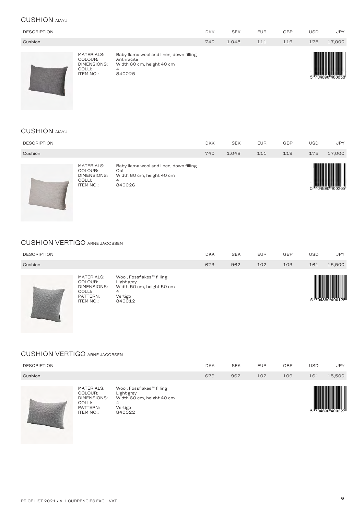#### CUSHION AIAYU

| <b>DESCRIPTION</b> |                                                                    |                                                                                                   | <b>DKK</b> | <b>SEK</b> | <b>EUR</b> | <b>GBP</b> | <b>USD</b> | <b>JPY</b>   |
|--------------------|--------------------------------------------------------------------|---------------------------------------------------------------------------------------------------|------------|------------|------------|------------|------------|--------------|
| Cushion            |                                                                    |                                                                                                   | 740        | 1.048      | 111        | 119        | 175        | 17,000       |
|                    | <b>MATERIALS:</b><br>COLOUR:<br>DIMENSIONS:<br>COLLI:<br>ITEM NO.: | Baby Ilama wool and linen, down filling<br>Anthracite<br>Width 60 cm, height 40 cm<br>4<br>840025 |            |            |            |            |            | <b>THEFT</b> |

## CUSHION AIAYU

| MATERIALS:<br>Baby Ilama wool and linen, down filling<br>COLOUR:<br>Oat<br><b>DIMENSIONS:</b><br>Width 60 cm, height 40 cm<br>COLLI:<br>4 |            |
|-------------------------------------------------------------------------------------------------------------------------------------------|------------|
| Cushion<br>740<br>1.048<br>119<br>175<br>111                                                                                              | 17,000     |
| <b>GBP</b><br>USD.<br><b>DESCRIPTION</b><br><b>DKK</b><br><b>SEK</b><br><b>EUR</b>                                                        | <b>JPY</b> |

#### CUSHION VERTIGO ARNE JACOBSEN

| <b>DESCRIPTION</b> |                                                                         |                                                                                                            | <b>DKK</b> | <b>SEK</b> | <b>EUR</b> | <b>GBP</b> | USD | <b>JPY</b> |
|--------------------|-------------------------------------------------------------------------|------------------------------------------------------------------------------------------------------------|------------|------------|------------|------------|-----|------------|
| Cushion            |                                                                         |                                                                                                            | 679        | 962        | 102        | 109        | 161 | 15,500     |
|                    | MATERIALS:<br>COLOUR:<br>DIMENSIONS:<br>COLLI:<br>PATTERN:<br>ITEM NO.: | Wool, Fossflakes <sup>™</sup> filling<br>Light grey<br>Width 50 cm, height 50 cm<br>4<br>Vertigo<br>840012 |            |            |            |            |     |            |

#### CUSHION VERTIGO ARNE JACOBSEN

| <b>DESCRIPTION</b> |                                                                                       |                                                                                                            | <b>DKK</b> | <b>SEK</b> | <b>EUR</b> | <b>GBP</b> | USD | <b>JPY</b> |
|--------------------|---------------------------------------------------------------------------------------|------------------------------------------------------------------------------------------------------------|------------|------------|------------|------------|-----|------------|
| Cushion            |                                                                                       |                                                                                                            | 679        | 962        | 102        | 109        | 161 | 15,500     |
|                    | <b>MATERIALS:</b><br>COLOUR:<br>DIMENSIONS:<br>COLLI:<br>PATTERN:<br><b>ITEM NO.:</b> | Wool, Fossflakes <sup>™</sup> filling<br>Light grey<br>Width 60 cm, height 40 cm<br>4<br>Vertigo<br>840022 |            |            |            |            |     |            |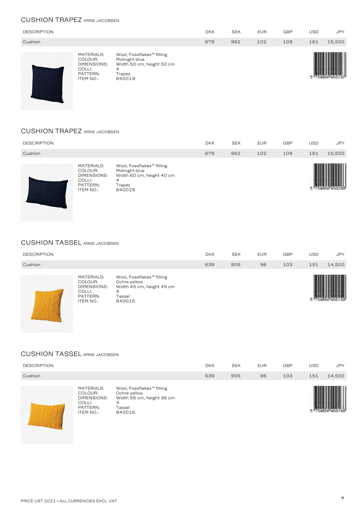#### CUSHION TRAPEZ ARNE JACOBSEN

| <b>DESCRIPTION</b> |                                                                                |                                                                                                              | <b>DKK</b> | <b>SEK</b> | <b>EUR</b> | <b>GBP</b> | <b>USD</b> | <b>JPY</b> |
|--------------------|--------------------------------------------------------------------------------|--------------------------------------------------------------------------------------------------------------|------------|------------|------------|------------|------------|------------|
| Cushion            |                                                                                |                                                                                                              | 679        | 962        | 102        | 109        | 161        | 15,500     |
|                    | MATERIALS:<br>COLOUR:<br>DIMENSIONS:<br>COLLI:<br>PATTERN:<br><b>ITEM NO.:</b> | Wool, Fossflakes <sup>™</sup> filling<br>Midnight blue<br>Width 50 cm, height 50 cm<br>4<br>Trapez<br>840019 |            |            |            |            |            |            |

#### CUSHION TRAPEZ ARNE JACOBSEN

| <b>DESCRIPTION</b> |                                                                                       |                                                                                                              | <b>DKK</b> | <b>SEK</b> | <b>EUR</b> | <b>GBP</b> | USD | <b>JPY</b> |
|--------------------|---------------------------------------------------------------------------------------|--------------------------------------------------------------------------------------------------------------|------------|------------|------------|------------|-----|------------|
| Cushion            |                                                                                       |                                                                                                              | 679        | 962        | 102        | 109        | 161 | 15,500     |
|                    | MATERIALS:<br>COLOUR:<br><b>DIMENSIONS:</b><br>COLLI:<br>PATTERN:<br><b>ITEM NO.:</b> | Wool, Fossflakes <sup>™</sup> filling<br>Midnight blue<br>Width 60 cm, height 40 cm<br>4<br>Trapez<br>840029 |            |            |            |            |     |            |

#### CUSHION TASSEL ARNE JACOBSEN

| <b>DESCRIPTION</b> |                                                                                              |                                                                                                             | <b>DKK</b> | <b>SEK</b> | <b>EUR</b> | <b>GBP</b> | <b>USD</b> | <b>JPY</b> |
|--------------------|----------------------------------------------------------------------------------------------|-------------------------------------------------------------------------------------------------------------|------------|------------|------------|------------|------------|------------|
| Cushion            |                                                                                              |                                                                                                             | 639        | 905        | 96         | 103        | 151        | 14,500     |
|                    | <b>MATERIALS:</b><br>COLOUR:<br><b>DIMENSIONS:</b><br>COLLI:<br>PATTERN:<br><b>ITEM NO.:</b> | Wool, Fossflakes <sup>™</sup> filling<br>Ochre yellow<br>Width 45 cm, height 45 cm<br>4<br>Tassel<br>840015 |            |            |            |            |            |            |

#### CUSHION TASSEL ARNE JACOBSEN

| <b>DESCRIPTION</b> |                                                                                |                                                                                                             | <b>DKK</b> | <b>SEK</b> | <b>EUR</b> | <b>GBP</b> | USD | <b>JPY</b> |
|--------------------|--------------------------------------------------------------------------------|-------------------------------------------------------------------------------------------------------------|------------|------------|------------|------------|-----|------------|
| Cushion            |                                                                                |                                                                                                             | 639        | 905        | 96         | 103        | 151 | 14,500     |
|                    | <b>MATERIALS:</b><br>COLOUR:<br>DIMENSIONS:<br>COLLI:<br>PATTERN:<br>ITEM NO.: | Wool, Fossflakes <sup>™</sup> filling<br>Ochre yellow<br>Width 56 cm, height 36 cm<br>4<br>Tassel<br>840016 |            |            |            |            |     |            |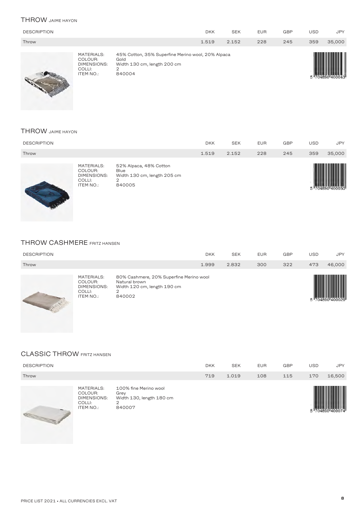#### THROW JAIME HAYON

| <b>DESCRIPTION</b> |                                                                    |                                                                                                         | <b>DKK</b> | <b>SEK</b> | <b>EUR</b> | <b>GBP</b> | <b>USD</b> | <b>JPY</b> |
|--------------------|--------------------------------------------------------------------|---------------------------------------------------------------------------------------------------------|------------|------------|------------|------------|------------|------------|
| Throw              |                                                                    |                                                                                                         | 1.519      | 2.152      | 228        | 245        | 359        | 35,000     |
|                    | MATERIALS:<br>COLOUR:<br>DIMENSIONS:<br>COLLI:<br><b>ITEM NO.:</b> | 45% Cotton, 35% Superfine Merino wool, 20% Alpaca<br>Gold<br>Width 130 cm, length 200 cm<br>2<br>840004 |            |            |            |            |            |            |

#### THROW JAIME HAYON

| <b>DESCRIPTION</b> |                                                             |                                                                              | <b>DKK</b> | <b>SEK</b> | <b>EUR</b> | <b>GBP</b> | <b>USD</b> | <b>JPY</b> |
|--------------------|-------------------------------------------------------------|------------------------------------------------------------------------------|------------|------------|------------|------------|------------|------------|
| Throw              |                                                             |                                                                              | 1.519      | 2.152      | 228        | 245        | 359        | 35,000     |
|                    | MATERIALS:<br>COLOUR:<br>DIMENSIONS:<br>COLLI:<br>ITEM NO.: | 52% Alpaca, 48% Cotton<br>Blue<br>Width 130 cm, length 205 cm<br>2<br>840005 |            |            |            |            |            |            |

#### THROW CASHMERE FRITZ HANSEN

| <b>DESCRIPTION</b> |                                                                    |                                                                                                        | <b>DKK</b> | <b>SEK</b> | <b>EUR</b> | <b>GBP</b> | USD | <b>JPY</b> |
|--------------------|--------------------------------------------------------------------|--------------------------------------------------------------------------------------------------------|------------|------------|------------|------------|-----|------------|
| Throw              |                                                                    |                                                                                                        | 1.999      | 2.832      | 300        | 322        | 473 | 46,000     |
|                    | MATERIALS:<br>COLOUR:<br>DIMENSIONS:<br>COLLI:<br><b>ITEM NO.:</b> | 80% Cashmere, 20% Superfine Merino wool<br>Natural brown<br>Width 120 cm, length 190 cm<br>↷<br>840002 |            |            |            |            |     | IIIII      |

## CLASSIC THROW FRITZ HANSEN

E.

| <b>DESCRIPTION</b> |                                                                           |                                                                          | <b>DKK</b> | <b>SEK</b> | <b>EUR</b> | <b>GBP</b> | USD | <b>JPY</b> |
|--------------------|---------------------------------------------------------------------------|--------------------------------------------------------------------------|------------|------------|------------|------------|-----|------------|
| Throw              |                                                                           |                                                                          | 719        | 1.019      | 108        | 115        | 170 | 16,500     |
|                    | <b>MATERIALS:</b><br>COLOUR:<br>DIMENSIONS:<br>COLLI:<br><b>ITEM NO.:</b> | 100% fine Merino wool<br>Grey<br>Width 130, length 180 cm<br>2<br>840007 |            |            |            |            |     |            |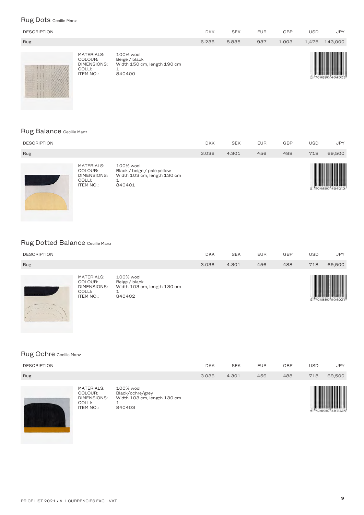## Rug Dots Cecilie Manz

| <b>DESCRIPTION</b>                                                                                                                                                                                                                                                                                                                                               |                                                                           |                                                                     | <b>DKK</b> | <b>SEK</b> | <b>EUR</b> | <b>GBP</b> | <b>USD</b> | <b>JPY</b> |
|------------------------------------------------------------------------------------------------------------------------------------------------------------------------------------------------------------------------------------------------------------------------------------------------------------------------------------------------------------------|---------------------------------------------------------------------------|---------------------------------------------------------------------|------------|------------|------------|------------|------------|------------|
| Rug                                                                                                                                                                                                                                                                                                                                                              |                                                                           |                                                                     | 6.236      | 8.835      | 937        | 1.003      | 1,475      | 143,000    |
| $9.5 + 9.3$<br><b>A 20 20 20 20 20 20</b><br><b>CONTRACTOR</b><br>$\mathcal{L}^{\prime}=\mathcal{L}^{\prime}=\mathcal{L}^{\prime}=\mathcal{L}^{\prime}=\mathcal{L}^{\prime}$<br><b>CONTRACTOR</b><br>1 14111<br>$11 - 2 - 11 - 1$<br>2202<br><b>CONTRACTOR</b><br><b>Contract Contract Contract Contract</b><br>the term in the term<br>$-1$ $-1$ $-1$ $-1$ $-1$ | MATERIALS:<br>COLOUR:<br><b>DIMENSIONS:</b><br>COLLI:<br><b>ITEM NO.:</b> | 100% wool<br>Beige / black<br>Width 150 cm, length 190 cm<br>840400 |            |            |            |            |            |            |

#### Rug Balance Cecilie Manz

| <b>DESCRIPTION</b> |                                                                    |                                                                                   | <b>DKK</b> | <b>SEK</b> | <b>EUR</b> | <b>GBP</b> | USD | <b>JPY</b>     |
|--------------------|--------------------------------------------------------------------|-----------------------------------------------------------------------------------|------------|------------|------------|------------|-----|----------------|
| Rug                |                                                                    |                                                                                   | 3.036      | 4.301      | 456        | 488        | 718 | 69,500         |
|                    | MATERIALS:<br>COLOUR:<br>DIMENSIONS:<br>COLLI:<br><b>ITEM NO.:</b> | 100% wool<br>Black / beige / pale yellow<br>Width 103 cm, length 130 cm<br>840401 |            |            |            |            |     | "704690"404010 |

## Rug Dotted Balance Cecilie Manz

|                    | MATERIALS:<br>COLOUR:<br>DIMENICIONIC. | 100% wool<br>Beige / black<br>$M/d + h + 0.2$ am langth $1.20$ am |            |            |            |     |     |            |
|--------------------|----------------------------------------|-------------------------------------------------------------------|------------|------------|------------|-----|-----|------------|
| Rug                |                                        |                                                                   | 3.036      | 4.301      | 456        | 488 | 718 | 69,500     |
| <b>DESCRIPTION</b> |                                        |                                                                   | <b>DKK</b> | <b>SEK</b> | <b>EUR</b> | GBP | USD | <b>JPY</b> |
|                    |                                        |                                                                   |            |            |            |     |     |            |



COLLI: 1 ITEM NO.: <sup>840402</sup>

Didth 103 cm, length 130 cm<br>1<br>840402



## Rug Ochre Cecilie Manz

| <b>DESCRIPTION</b> |                                                                    |                                                                        | <b>DKK</b> | <b>SEK</b> | <b>EUR</b> | <b>GBP</b> | <b>USD</b> | <b>JPY</b>     |
|--------------------|--------------------------------------------------------------------|------------------------------------------------------------------------|------------|------------|------------|------------|------------|----------------|
| Rug                |                                                                    |                                                                        | 3.036      | 4.301      | 456        | 488        | 718        | 69,500         |
|                    | MATERIALS:<br>COLOUR:<br>DIMENSIONS:<br>COLLI:<br><b>ITEM NO.:</b> | 100% wool<br>Black/ochre/grey<br>Width 103 cm, length 130 cm<br>840403 |            |            |            |            |            | "704890"404034 |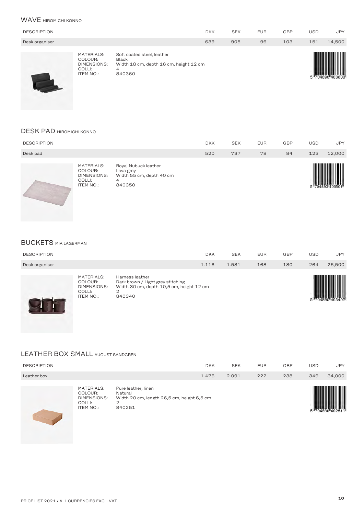#### WAVE **HIROMICHI KONNO**

| <b>DESCRIPTION</b> |                                                                    |                                                                                              | <b>DKK</b> | <b>SEK</b> | <b>EUR</b> | <b>GBP</b> | <b>USD</b> | <b>JPY</b> |
|--------------------|--------------------------------------------------------------------|----------------------------------------------------------------------------------------------|------------|------------|------------|------------|------------|------------|
| Desk organiser     |                                                                    |                                                                                              | 639        | 905        | 96         | 103        | 151        | 14,500     |
|                    | MATERIALS:<br>COLOUR:<br>DIMENSIONS:<br>COLLI:<br><b>ITEM NO.:</b> | Soft coated steel, leather<br>Black<br>Width 18 cm, depth 16 cm, height 12 cm<br>4<br>840360 |            |            |            |            |            |            |

#### DESK PAD HIROMICHI KONNO

| <b>DESCRIPTION</b> |                                                                    |                                                                              | <b>DKK</b> | <b>SEK</b> | <b>EUR</b> | <b>GBP</b> | <b>USD</b> | <b>JPY</b> |
|--------------------|--------------------------------------------------------------------|------------------------------------------------------------------------------|------------|------------|------------|------------|------------|------------|
| Desk pad           |                                                                    |                                                                              | 520        | 737        | 78         | 84         | 123        | 12,000     |
|                    | MATERIALS:<br>COLOUR:<br>DIMENSIONS:<br>COLLI:<br><b>ITEM NO.:</b> | Royal Nubuck leather<br>Lava grey<br>Width 55 cm, depth 40 cm<br>4<br>840350 |            |            |            |            |            |            |

#### BUCKETS MIA LAGERMAN

| <b>DESCRIPTION</b> | <b>DKK</b> | <b>SEK</b> | <b>EUR</b> | <b>GBP</b> | USD | <b>JPY</b> |
|--------------------|------------|------------|------------|------------|-----|------------|
| Desk organiser     | 1.116      | 1.581      | 168        | 180        | 264 | 25,500     |



#### LEATHER BOX SMALL AUGUST SANDGREN

| <b>DESCRIPTION</b> |                                                                    |                                                                                             | <b>DKK</b> | <b>SEK</b> | <b>EUR</b> | <b>GBP</b> | USD | <b>JPY</b> |
|--------------------|--------------------------------------------------------------------|---------------------------------------------------------------------------------------------|------------|------------|------------|------------|-----|------------|
| Leather box        |                                                                    |                                                                                             | 1.476      | 2.091      | 222        | 238        | 349 | 34,000     |
|                    | <b>MATERIALS:</b><br>COLOUR:<br>DIMENSIONS:<br>COLLI:<br>ITEM NO.: | Pure leather, linen<br>Natural<br>Width 20 cm, length 26,5 cm, height 6,5 cm<br>◠<br>840251 |            |            |            |            |     |            |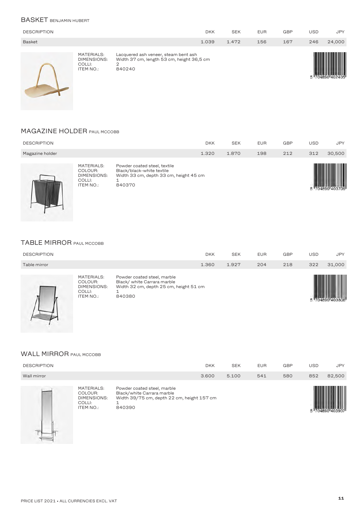#### BASKET BENJAMIN HUBERT

| <b>DESCRIPTION</b> |                                                  |                                                                                                  | <b>DKK</b> | <b>SEK</b> | <b>EUR</b> | <b>GBP</b> | <b>USD</b> | <b>JPY</b> |
|--------------------|--------------------------------------------------|--------------------------------------------------------------------------------------------------|------------|------------|------------|------------|------------|------------|
| <b>Basket</b>      |                                                  |                                                                                                  | 1.039      | 1.472      | 156        | 167        | 246        | 24,000     |
|                    | MATERIALS:<br>DIMENSIONS:<br>COLLI:<br>ITEM NO.: | Lacquered ash veneer, steam bent ash<br>Width 37 cm, length 53 cm, height 36,5 cm<br>2<br>840240 |            |            |            |            |            |            |

#### **MAGAZINE HOLDER PAUL MCCOBB**

| <b>DESCRIPTION</b> |                                                                    |                                                                                                               | <b>DKK</b> | <b>SEK</b> | <b>EUR</b> | <b>GBP</b> | USD | <b>JPY</b> |
|--------------------|--------------------------------------------------------------------|---------------------------------------------------------------------------------------------------------------|------------|------------|------------|------------|-----|------------|
| Magazine holder    |                                                                    |                                                                                                               | 1.320      | 1.870      | 198        | 212        | 312 | 30,500     |
|                    | MATERIALS:<br>COLOUR:<br>DIMENSIONS:<br>COLLI:<br><b>ITEM NO.:</b> | Powder coated steel, textile<br>Black/black-white textile<br>Width 33 cm, depth 33 cm, height 45 cm<br>840370 |            |            |            |            |     |            |

#### TABLE MIRROR PAUL MCCOBB

|                    | MATERIALS:<br>COLOUR:<br>DIMENSIONS: | Powder coated steel, marble<br>Black/white Carrara marble<br>Width 32 cm denth 25 cm height 51 cm |            |            |            |     |     |            |
|--------------------|--------------------------------------|---------------------------------------------------------------------------------------------------|------------|------------|------------|-----|-----|------------|
| Table mirror       |                                      |                                                                                                   | 1.360      | 1.927      | 204        | 218 | 322 | 31.000     |
| <b>DESCRIPTION</b> |                                      |                                                                                                   | <b>DKK</b> | <b>SEK</b> | <b>EUR</b> | GBP | USD | <b>JPY</b> |
|                    |                                      |                                                                                                   |            |            |            |     |     |            |



I

| MATERIALS:<br>COLOUR:<br>DIMENSIONS:<br>COLLI: | Powder coated steel, marble<br>Black/ white Carrara marble<br>Width 32 cm, depth 25 cm, height 51 cm |
|------------------------------------------------|------------------------------------------------------------------------------------------------------|
| ITEM NO.:                                      | 840380                                                                                               |



#### WALL MIRROR PAUL MCCOBB

| <b>DESCRIPTION</b> |                                                                           |                                                                                                                   | <b>DKK</b> | <b>SEK</b> | <b>EUR</b> | <b>GBP</b> | USD | <b>JPY</b> |
|--------------------|---------------------------------------------------------------------------|-------------------------------------------------------------------------------------------------------------------|------------|------------|------------|------------|-----|------------|
| Wall mirror        |                                                                           |                                                                                                                   | 3.600      | 5.100      | 541        | 580        | 852 | 82,500     |
|                    | <b>MATERIALS:</b><br>COLOUR:<br>DIMENSIONS:<br>COLLI:<br><b>ITEM NO.:</b> | Powder coated steel, marble<br>Black/white Carrara marble<br>Width 39/75 cm, depth 22 cm, height 157 cm<br>840390 |            |            |            |            |     |            |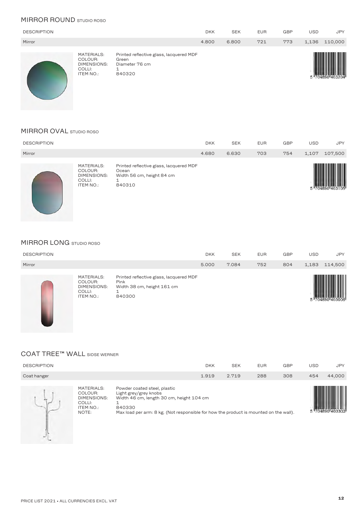#### **MIRROR ROUND** STUDIO ROSO

| <b>DESCRIPTION</b> |                                                                    |                                                                              | <b>DKK</b> | <b>SEK</b> | <b>EUR</b> | <b>GBP</b> | <b>USD</b> | <b>JPY</b> |
|--------------------|--------------------------------------------------------------------|------------------------------------------------------------------------------|------------|------------|------------|------------|------------|------------|
| Mirror             |                                                                    |                                                                              | 4.800      | 6.800      | 721        | 773        | 1,136      | 110,000    |
|                    | MATERIALS:<br>COLOUR:<br>DIMENSIONS:<br>COLLI:<br><b>ITEM NO.:</b> | Printed reflective glass, lacquered MDF<br>Green<br>Diameter 76 cm<br>840320 |            |            |            |            |            |            |

#### MIRROR OVAL STUDIO ROSO

| <b>DESCRIPTION</b> |                                                                           |                                                                                         | <b>DKK</b> | <b>SEK</b> | <b>EUR</b> | <b>GBP</b> | <b>USD</b> | <b>JPY</b> |
|--------------------|---------------------------------------------------------------------------|-----------------------------------------------------------------------------------------|------------|------------|------------|------------|------------|------------|
| Mirror             |                                                                           |                                                                                         | 4.680      | 6.630      | 703        | 754        | 1,107      | 107,500    |
|                    | MATERIALS:<br>COLOUR:<br><b>DIMENSIONS:</b><br>COLLI:<br><b>ITEM NO.:</b> | Printed reflective glass, lacquered MDF<br>Ocean<br>Width 56 cm, height 84 cm<br>840310 |            |            |            |            |            |            |

#### MIRROR LONG STUDIO ROSO

| <b>DESCRIPTION</b> |                                                                    |                                                                                         | <b>DKK</b> | <b>SEK</b> | <b>EUR</b> | <b>GBP</b> | USD   | <b>JPY</b> |
|--------------------|--------------------------------------------------------------------|-----------------------------------------------------------------------------------------|------------|------------|------------|------------|-------|------------|
| Mirror             |                                                                    |                                                                                         | 5.000      | 7.084      | 752        | 804        | 1,183 | 114,500    |
|                    | MATERIALS:<br>COLOUR:<br><b>DIMENSIONS:</b><br>COLLI:<br>ITEM NO.: | Printed reflective glass, lacquered MDF<br>Pink<br>Width 38 cm, height 161 cm<br>840300 |            |            |            |            |       |            |

#### COAT TREE™ WALL SIDSE WERNER

| <b>DESCRIPTION</b>                                                                        |                                                                 | <b>DKK</b>                                                                                                                        | <b>SEK</b> | <b>EUR</b> | <b>GBP</b> | <b>USD</b> | <b>JPY</b> |
|-------------------------------------------------------------------------------------------|-----------------------------------------------------------------|-----------------------------------------------------------------------------------------------------------------------------------|------------|------------|------------|------------|------------|
| Coat hanger                                                                               |                                                                 | 1.919                                                                                                                             | 2.719      | 288        | 308        | 454        | 44,000     |
| <b>MATERIALS:</b><br>COLOUR:<br><b>DIMENSIONS:</b><br>COLLI:<br><b>ITEM NO.:</b><br>NOTE: | Powder coated steel, plastic<br>Light grey/grey knobs<br>840330 | Width 46 cm, length 30 cm, height 104 cm<br>Max load per arm: 8 kg. (Not responsible for how the product is mounted on the wall). |            |            |            |            |            |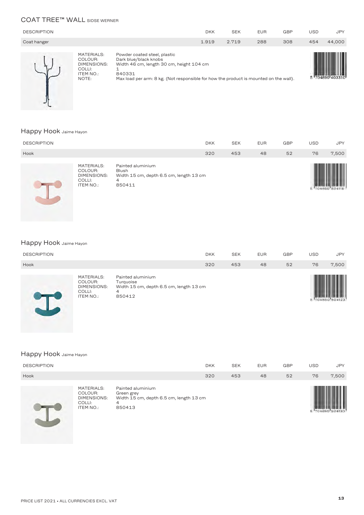#### COAT TREE™ WALL SIDSE WERNER

| <b>DESCRIPTION</b> |                                                                      |                                                                                                                                                                                                      | <b>DKK</b> | <b>SEK</b> | <b>EUR</b> | <b>GBP</b> | USD | <b>JPY</b> |
|--------------------|----------------------------------------------------------------------|------------------------------------------------------------------------------------------------------------------------------------------------------------------------------------------------------|------------|------------|------------|------------|-----|------------|
| Coat hanger        |                                                                      |                                                                                                                                                                                                      | 1.919      | 2.719      | 288        | 308        | 454 | 44,000     |
|                    | MATERIALS:<br>COLOUR:<br>DIMENSIONS:<br>COLLI:<br>ITEM NO.:<br>NOTE: | Powder coated steel, plastic<br>Dark blue/black knobs<br>Width 46 cm, length 30 cm, height 104 cm<br>840331<br>Max load per arm: 8 kg. (Not responsible for how the product is mounted on the wall). |            |            |            |            |     |            |

#### Happy Hook Jaime Hayon

 $\frac{1}{2}$ 

| <b>DESCRIPTION</b> |                                                                           |                                                                                             | <b>DKK</b> | <b>SEK</b> | <b>EUR</b> | <b>GBP</b> | <b>USD</b> | <b>JPY</b>      |
|--------------------|---------------------------------------------------------------------------|---------------------------------------------------------------------------------------------|------------|------------|------------|------------|------------|-----------------|
| Hook               |                                                                           |                                                                                             | 320        | 453        | 48         | 52         | 76         | 7,500           |
|                    | MATERIALS:<br>COLOUR:<br><b>DIMENSIONS:</b><br>COLLI:<br><b>ITEM NO.:</b> | Painted aluminium<br><b>Blush</b><br>Width 15 cm, depth 6.5 cm, length 13 cm<br>4<br>850411 |            |            |            |            |            | 5 704890 504116 |

# Happy Hook Jaime Hayon

|                    | MATERIALS:<br>_______ | Painted aluminium |     |            |            |     |     |            |
|--------------------|-----------------------|-------------------|-----|------------|------------|-----|-----|------------|
| Hook               |                       |                   | 320 | 453        | 48         | 52  | 76  | 7,500      |
| <b>DESCRIPTION</b> |                       |                   | DKK | <b>SEK</b> | <b>EUR</b> | GBP | USD | <b>JPY</b> |



| MATERIALS:<br>COLOUR:<br>DIMENSIONS:<br>COLLI:<br>ITEM NO.: | Painted aluminium<br>Turguoise<br>Width 15 cm, depth 6.5 cm, length 13 cm<br>850412 |
|-------------------------------------------------------------|-------------------------------------------------------------------------------------|
|-------------------------------------------------------------|-------------------------------------------------------------------------------------|



# Happy Hook Jaime Hayon

| <b>DESCRIPTION</b> |                                                                    |                                                                                           | <b>DKK</b> | <b>SEK</b> | <b>EUR</b> | <b>GBP</b> | <b>USD</b> | <b>JPY</b> |
|--------------------|--------------------------------------------------------------------|-------------------------------------------------------------------------------------------|------------|------------|------------|------------|------------|------------|
| Hook               |                                                                    |                                                                                           | 320        | 453        | 48         | 52         | 76         | 7,500      |
| $\sim$             | MATERIALS:<br>COLOUR:<br>DIMENSIONS:<br>COLLI:<br><b>ITEM NO.:</b> | Painted aluminium<br>Green grey<br>Width 15 cm, depth 6.5 cm, length 13 cm<br>4<br>850413 |            |            |            |            |            |            |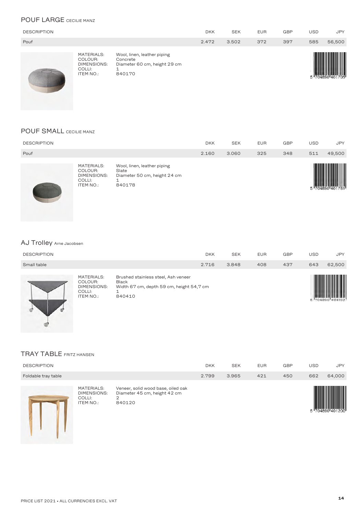#### POUF LARGE CECILIE MANZ

| <b>DESCRIPTION</b> |                                                                    |                                                                                   | <b>DKK</b> | <b>SEK</b> | <b>EUR</b> | <b>GBP</b> | USD | <b>JPY</b> |
|--------------------|--------------------------------------------------------------------|-----------------------------------------------------------------------------------|------------|------------|------------|------------|-----|------------|
| Pouf               |                                                                    |                                                                                   | 2.472      | 3.502      | 372        | 397        | 585 | 56,500     |
|                    | MATERIALS:<br>COLOUR:<br>DIMENSIONS:<br>COLLI:<br><b>ITEM NO.:</b> | Wool, linen, leather piping<br>Concrete<br>Diameter 60 cm, height 29 cm<br>840170 |            |            |            |            |     |            |

#### POUF SMALL CECILIE MANZ

| <b>DESCRIPTION</b> |                                                                    |                                                                                | <b>DKK</b> | <b>SEK</b> | <b>EUR</b> | <b>GBP</b> | <b>USD</b> | <b>JPY</b> |
|--------------------|--------------------------------------------------------------------|--------------------------------------------------------------------------------|------------|------------|------------|------------|------------|------------|
| Pouf               |                                                                    |                                                                                | 2.160      | 3.060      | 325        | 348        | 511        | 49,500     |
|                    | MATERIALS:<br>COLOUR:<br><b>DIMENSIONS:</b><br>COLLI:<br>ITEM NO.: | Wool, linen, leather piping<br>Slate<br>Diameter 50 cm, height 24 cm<br>840178 |            |            |            |            |            |            |

# AJ Trolley Arne Jacobsen

| <b>DESCRIPTION</b> |                                                                           |                                                                                                           | <b>DKK</b> | <b>SEK</b> | <b>EUR</b> | <b>GBP</b> | USD | <b>JPY</b> |
|--------------------|---------------------------------------------------------------------------|-----------------------------------------------------------------------------------------------------------|------------|------------|------------|------------|-----|------------|
| Small table        |                                                                           |                                                                                                           | 2.716      | 3.848      | 408        | 437        | 643 | 62,500     |
|                    | <b>MATERIALS:</b><br>COLOUR:<br><b>DIMENSIONS:</b><br>COLLI:<br>ITEM NO.: | Brushed stainless steel, Ash veneer<br><b>Black</b><br>Width 67 cm, depth 59 cm, height 54,7 cm<br>840410 |            |            |            |            |     |            |

## TRAY TABLE FRITZ HANSEN

| <b>DESCRIPTION</b>  |                                                  |                                                                                   | <b>DKK</b> | <b>SEK</b> | <b>EUR</b> | <b>GBP</b> | <b>USD</b> | <b>JPY</b> |
|---------------------|--------------------------------------------------|-----------------------------------------------------------------------------------|------------|------------|------------|------------|------------|------------|
| Foldable tray table |                                                  |                                                                                   | 2.799      | 3.965      | 421        | 450        | 662        | 64,000     |
|                     | MATERIALS:<br>DIMENSIONS:<br>COLLI:<br>ITEM NO.: | Veneer, solid wood base, oiled oak<br>Diameter 45 cm, height 42 cm<br>2<br>840120 |            |            |            |            |            |            |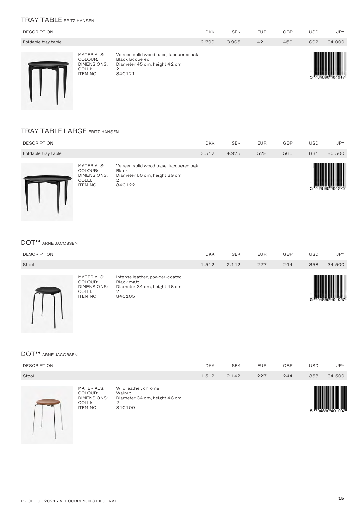## TRAY TABLE FRITZ HANSEN

| <b>DESCRIPTION</b>  |                                                                                  |                                                                                                                 | <b>DKK</b> | <b>SEK</b> | <b>EUR</b> | <b>GBP</b> | <b>USD</b> | <b>JPY</b> |
|---------------------|----------------------------------------------------------------------------------|-----------------------------------------------------------------------------------------------------------------|------------|------------|------------|------------|------------|------------|
| Foldable tray table |                                                                                  |                                                                                                                 | 2.799      | 3.965      | 421        | 450        | 662        | 64,000     |
|                     | <b>MATERIALS:</b><br>COLOUR:<br><b>DIMENSIONS:</b><br>COLLI:<br><b>ITEM NO.:</b> | Veneer, solid wood base, lacquered oak<br><b>Black lacquered</b><br>Diameter 45 cm, height 42 cm<br>2<br>840121 |            |            |            |            |            |            |

#### TRAY TABLE LARGE FRITZ HANSEN

L

| <b>DESCRIPTION</b>  |                                                             |                                                                                                       | <b>DKK</b> | <b>SEK</b> | <b>EUR</b> | <b>GBP</b> | <b>USD</b> | <b>JPY</b> |
|---------------------|-------------------------------------------------------------|-------------------------------------------------------------------------------------------------------|------------|------------|------------|------------|------------|------------|
| Foldable tray table |                                                             |                                                                                                       | 3.512      | 4.975      | 528        | 565        | 831        | 80,500     |
|                     | MATERIALS:<br>COLOUR:<br>DIMENSIONS:<br>COLLI:<br>ITEM NO.: | Veneer, solid wood base, lacquered oak<br><b>Black</b><br>Diameter 60 cm, height 39 cm<br>◠<br>840122 |            |            |            |            |            |            |

#### DOT™ ARNE JACOBSEN

| <b>DESCRIPTION</b> |                                                                           |                                                                                             | <b>DKK</b> | <b>SEK</b> | <b>EUR</b> | <b>GBP</b> | <b>USD</b> | <b>JPY</b> |
|--------------------|---------------------------------------------------------------------------|---------------------------------------------------------------------------------------------|------------|------------|------------|------------|------------|------------|
| Stool              |                                                                           |                                                                                             | 1.512      | 2.142      | 227        | 244        | 358        | 34,500     |
|                    | <b>MATERIALS:</b><br>COLOUR:<br><b>DIMENSIONS:</b><br>COLLI:<br>ITEM NO.: | Intense leather, powder-coated<br>Black matt<br>Diameter 34 cm, height 46 cm<br>っ<br>840105 |            |            |            |            |            |            |

## DOT™ ARNE JACOBSEN

| <b>DESCRIPTION</b> |                                                                    |                                                                               | <b>DKK</b> | <b>SEK</b> | <b>EUR</b> | <b>GBP</b> | <b>USD</b> | <b>JPY</b> |
|--------------------|--------------------------------------------------------------------|-------------------------------------------------------------------------------|------------|------------|------------|------------|------------|------------|
| Stool              |                                                                    |                                                                               | 1.512      | 2.142      | 227        | 244        | 358        | 34,500     |
|                    | MATERIALS:<br>COLOUR:<br>DIMENSIONS:<br>COLLI:<br><b>ITEM NO.:</b> | Wild leather, chrome<br>Walnut<br>Diameter 34 cm, height 46 cm<br>2<br>840100 |            |            |            |            |            |            |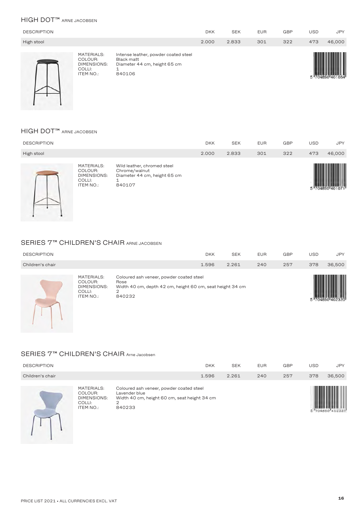#### HIGH DOT™ ARNE JACOBSEN

| <b>DESCRIPTION</b> |                                                                           |                                                                                                   | <b>DKK</b> | <b>SEK</b> | <b>EUR</b> | GBP | <b>USD</b> | <b>JPY</b> |
|--------------------|---------------------------------------------------------------------------|---------------------------------------------------------------------------------------------------|------------|------------|------------|-----|------------|------------|
| High stool         |                                                                           |                                                                                                   | 2.000      | 2.833      | 301        | 322 | 473        | 46,000     |
|                    | <b>MATERIALS:</b><br>COLOUR:<br>DIMENSIONS:<br>COLLI:<br><b>ITEM NO.:</b> | Intense leather, powder coated steel<br>Black matt<br>Diameter 44 cm, height 65 cm<br>1<br>840106 |            |            |            |     |            |            |

#### HIGH DOT™ ARNE JACOBSEN

| <b>DESCRIPTION</b> |                                                                                  |                                                                                             | <b>DKK</b> | <b>SEK</b> | <b>EUR</b> | <b>GBP</b> | <b>USD</b> | <b>JPY</b> |
|--------------------|----------------------------------------------------------------------------------|---------------------------------------------------------------------------------------------|------------|------------|------------|------------|------------|------------|
| High stool         |                                                                                  |                                                                                             | 2.000      | 2.833      | 301        | 322        | 473        | 46,000     |
|                    | <b>MATERIALS:</b><br>COLOUR:<br><b>DIMENSIONS:</b><br>COLLI:<br><b>ITEM NO.:</b> | Wild leather, chromed steel<br>Chrome/walnut<br>Diameter 44 cm, height 65 cm<br>1<br>840107 |            |            |            |            |            |            |

#### SERIES 7<sup>™</sup> CHILDREN'S CHAIR ARNE JACOBSEN

| <b>DESCRIPTION</b> |                                                                    |                                                                                                                              | <b>DKK</b> | <b>SEK</b> | <b>EUR</b> | <b>GBP</b> | <b>USD</b> | <b>JPY</b> |
|--------------------|--------------------------------------------------------------------|------------------------------------------------------------------------------------------------------------------------------|------------|------------|------------|------------|------------|------------|
| Children's chair   |                                                                    |                                                                                                                              | 1.596      | 2.261      | 240        | 257        | 378        | 36,500     |
|                    | MATERIALS:<br>COLOUR:<br>DIMENSIONS:<br>COLLI:<br><b>ITEM NO.:</b> | Coloured ash veneer, powder coated steel<br>Rose<br>Width 40 cm, depth 42 cm, height 60 cm, seat height 34 cm<br>2<br>840232 |            |            |            |            |            |            |

#### SERIES 7™ CHILDREN'S CHAIR Arne Jacobsen

| <b>DESCRIPTION</b> |                                                                                  |                                                                                                                          | <b>DKK</b> | <b>SEK</b> | <b>EUR</b> | GBP | <b>USD</b> | <b>JPY</b> |
|--------------------|----------------------------------------------------------------------------------|--------------------------------------------------------------------------------------------------------------------------|------------|------------|------------|-----|------------|------------|
| Children's chair   |                                                                                  |                                                                                                                          | 1.596      | 2.261      | 240        | 257 | 378        | 36,500     |
|                    | <b>MATERIALS:</b><br>COLOUR:<br><b>DIMENSIONS:</b><br>COLLI:<br><b>ITEM NO.:</b> | Coloured ash veneer, powder coated steel<br>Lavender blue<br>Width 40 cm, height 60 cm, seat height 34 cm<br>2<br>840233 |            |            |            |     |            |            |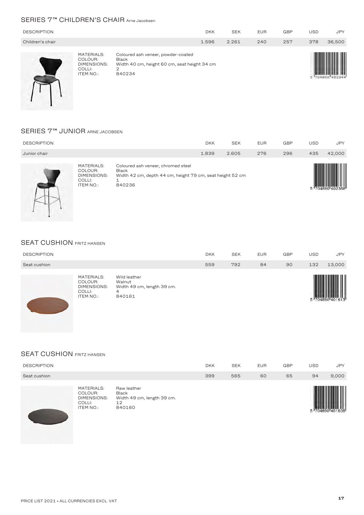#### SERIES 7<sup>™</sup> CHILDREN'S CHAIR Arne Jacobsen

| <b>DESCRIPTION</b> |                                                                                  |                                                                                                            | <b>DKK</b> | <b>SEK</b> | <b>EUR</b> | <b>GBP</b> | <b>USD</b> | <b>JPY</b> |
|--------------------|----------------------------------------------------------------------------------|------------------------------------------------------------------------------------------------------------|------------|------------|------------|------------|------------|------------|
| Children's chair   |                                                                                  |                                                                                                            | 1.596      | 2.261      | 240        | 257        | 378        | 36,500     |
|                    | <b>MATERIALS:</b><br>COLOUR:<br><b>DIMENSIONS:</b><br>COLLI:<br><b>ITEM NO.:</b> | Coloured ash veneer, powder-coated<br>Black<br>Width 40 cm, height 60 cm, seat height 34 cm<br>2<br>840234 |            |            |            |            |            |            |

#### SERIES 7™ JUNIOR ARNE JACOBSEN

| <b>DESCRIPTION</b> |                                                             |                                                                                                                           | <b>DKK</b> | <b>SEK</b> | <b>EUR</b> | <b>GBP</b> | USD | <b>JPY</b> |
|--------------------|-------------------------------------------------------------|---------------------------------------------------------------------------------------------------------------------------|------------|------------|------------|------------|-----|------------|
| Junior chair       |                                                             |                                                                                                                           | 1.839      | 2.605      | 276        | 296        | 435 | 42,000     |
|                    | MATERIALS:<br>COLOUR:<br>DIMENSIONS:<br>COLLI:<br>ITEM NO.: | Coloured ash veneer, chromed steel<br><b>Black</b><br>Width 42 cm, depth 44 cm, height 79 cm, seat height 52 cm<br>840236 |            |            |            |            |     |            |

#### **SEAT CUSHION FRITZ HANSEN**

|                    | MATERIALS: | Wild leather |     |            |            |     |     | <u> Hill i Hill i Hill i Hill i Hill i Hill i Hill i Hill i Hill i Hill i Hill i Hill i Hill i Hill i Hill i Hill </u> |
|--------------------|------------|--------------|-----|------------|------------|-----|-----|------------------------------------------------------------------------------------------------------------------------|
| Seat cushion       |            |              | 559 | 792        | 84         | 90  | 132 | 13,000                                                                                                                 |
| <b>DESCRIPTION</b> |            |              | DKK | <b>SEK</b> | <b>EUR</b> | GBP | USD | <b>JPY</b>                                                                                                             |



MATERIALS: Wild leather COLOUR: Walnut Width 49 cm, length 39 cm.<br>4<br>840161 COLLI: 4 ITEM NO.: <sup>840161</sup>



#### SEAT CUSHION FRITZ HANSEN

| <b>DESCRIPTION</b> |                                                                    |                                                                    | <b>DKK</b> | <b>SEK</b> | <b>EUR</b> | <b>GBP</b> | <b>USD</b> | <b>JPY</b> |
|--------------------|--------------------------------------------------------------------|--------------------------------------------------------------------|------------|------------|------------|------------|------------|------------|
| Seat cushion       |                                                                    |                                                                    | 399        | 565        | 60         | 65         | 94         | 9,000      |
|                    | MATERIALS:<br>COLOUR:<br><b>DIMENSIONS:</b><br>COLLI:<br>ITEM NO.: | Raw leather<br>Black<br>Width 49 cm, length 39 cm.<br>12<br>840160 |            |            |            |            |            |            |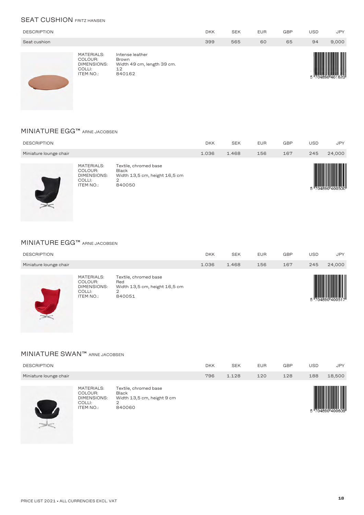#### **SEAT CUSHION FRITZ HANSEN**

| <b>DESCRIPTION</b> |                                                                    |                                                                        | <b>DKK</b> | <b>SEK</b> | <b>EUR</b> | <b>GBP</b> | USD | <b>JPY</b> |
|--------------------|--------------------------------------------------------------------|------------------------------------------------------------------------|------------|------------|------------|------------|-----|------------|
| Seat cushion       |                                                                    |                                                                        | 399        | 565        | 60         | 65         | 94  | 9,000      |
|                    | MATERIALS:<br>COLOUR:<br>DIMENSIONS:<br>COLLI:<br><b>ITEM NO.:</b> | Intense leather<br>Brown<br>Width 49 cm, length 39 cm.<br>12<br>840162 |            |            |            |            |     |            |

#### MINIATURE EGG™ ARNE JACOBSEN

| <b>DESCRIPTION</b>     |                                                                    |                                                                                       | <b>DKK</b> | <b>SEK</b> | <b>EUR</b> | <b>GBP</b> | USD | <b>JPY</b> |
|------------------------|--------------------------------------------------------------------|---------------------------------------------------------------------------------------|------------|------------|------------|------------|-----|------------|
| Miniature lounge chair |                                                                    |                                                                                       | 1.036      | 1.468      | 156        | 167        | 245 | 24,000     |
|                        | MATERIALS:<br>COLOUR:<br>DIMENSIONS:<br>COLLI:<br><b>ITEM NO.:</b> | Textile, chromed base<br><b>Black</b><br>Width 13,5 cm, height 16,5 cm<br>◠<br>840050 |            |            |            |            |     |            |

#### MINIATURE EGG™ ARNE JACOBSEN

|                        | MATERIALS:<br>COLOUR:<br>DIMENICIONIC. | Textile, chromed base<br>Red<br>$M/d + h + 9$ E am hoight $f \circ F$ am |       |            |            |            |     | <b>THE REAL</b> |
|------------------------|----------------------------------------|--------------------------------------------------------------------------|-------|------------|------------|------------|-----|-----------------|
| Miniature lounge chair |                                        |                                                                          | 1.036 | 1.468      | 156        | 167        | 245 | 24,000          |
| <b>DESCRIPTION</b>     |                                        |                                                                          | DKK   | <b>SEK</b> | <b>EUR</b> | <b>GBP</b> | USD | <b>JPY</b>      |
|                        |                                        |                                                                          |       |            |            |            |     |                 |



 $\frac{1}{\sqrt{2}}$ 

rea<br>Width 13,5 cm, height 16,5 cm<br>2<br>840051 COLLI: 2 ITEM NO.: <sup>840051</sup>



#### MINIATURE SWAN™ ARNE JACOBSEN

| <b>DESCRIPTION</b>     |                                                                                  |                                                                                    | <b>DKK</b> | <b>SEK</b> | <b>EUR</b> | <b>GBP</b> | <b>USD</b> | <b>JPY</b> |
|------------------------|----------------------------------------------------------------------------------|------------------------------------------------------------------------------------|------------|------------|------------|------------|------------|------------|
| Miniature lounge chair |                                                                                  |                                                                                    | 796        | 1.128      | 120        | 128        | 188        | 18,500     |
|                        | <b>MATERIALS:</b><br>COLOUR:<br><b>DIMENSIONS:</b><br>COLLI:<br><b>ITEM NO.:</b> | Textile, chromed base<br><b>Black</b><br>Width 13,5 cm, height 9 cm<br>2<br>840060 |            |            |            |            |            |            |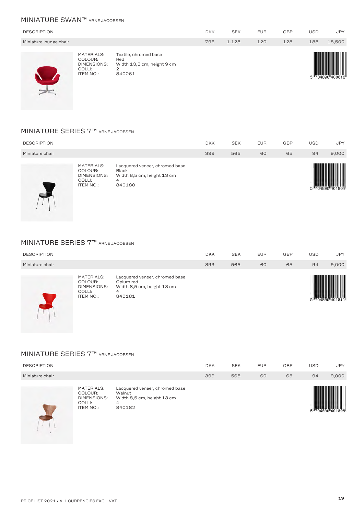## MINIATURE SWAN™ ARNE JACOBSEN

| <b>DESCRIPTION</b>     |                                                                    |                                                                           | <b>DKK</b> | <b>SEK</b> | <b>EUR</b> | <b>GBP</b> | <b>USD</b> | <b>JPY</b> |
|------------------------|--------------------------------------------------------------------|---------------------------------------------------------------------------|------------|------------|------------|------------|------------|------------|
| Miniature lounge chair |                                                                    |                                                                           | 796        | 1.128      | 120        | 128        | 188        | 18,500     |
|                        | MATERIALS:<br>COLOUR:<br>DIMENSIONS:<br>COLLI:<br><b>ITEM NO.:</b> | Textile, chromed base<br>Red<br>Width 13,5 cm, height 9 cm<br>2<br>840061 |            |            |            |            |            |            |

#### MINIATURE SERIES 7™ ARNE JACOBSEN

| <b>DESCRIPTION</b> |                                                                           |                                                                                             | <b>DKK</b> | <b>SEK</b> | <b>EUR</b> | <b>GBP</b> | <b>USD</b> | <b>JPY</b> |
|--------------------|---------------------------------------------------------------------------|---------------------------------------------------------------------------------------------|------------|------------|------------|------------|------------|------------|
| Miniature chair    |                                                                           |                                                                                             | 399        | 565        | 60         | 65         | 94         | 9,000      |
|                    | MATERIALS:<br>COLOUR:<br><b>DIMENSIONS:</b><br>COLLI:<br><b>ITEM NO.:</b> | Lacquered veneer, chromed base<br><b>Black</b><br>Width 8,5 cm, height 13 cm<br>4<br>840180 |            |            |            |            |            |            |

#### MINIATURE SERIES 7™ ARNE JACOBSEN

| <b>DESCRIPTION</b> |                                                             |                                                                                          | <b>DKK</b> | <b>SEK</b> | <b>EUR</b> | <b>GBP</b> | USD | <b>JPY</b> |
|--------------------|-------------------------------------------------------------|------------------------------------------------------------------------------------------|------------|------------|------------|------------|-----|------------|
| Miniature chair    |                                                             |                                                                                          | 399        | 565        | 60         | 65         | 94  | 9,000      |
|                    | MATERIALS:<br>COLOUR:<br>DIMENSIONS:<br>COLLI:<br>ITEM NO.: | Lacquered veneer, chromed base<br>Opium red<br>Width 8,5 cm, height 13 cm<br>4<br>840181 |            |            |            |            |     | Ш          |

# MINIATURE SERIES 7™ ARNE JACOBSEN

| <b>DESCRIPTION</b> |                                                                           |                                                                                       | <b>DKK</b> | <b>SEK</b> | <b>EUR</b> | <b>GBP</b> | <b>USD</b> | <b>JPY</b> |
|--------------------|---------------------------------------------------------------------------|---------------------------------------------------------------------------------------|------------|------------|------------|------------|------------|------------|
| Miniature chair    |                                                                           |                                                                                       | 399        | 565        | 60         | 65         | 94         | 9,000      |
|                    | MATERIALS:<br>COLOUR:<br><b>DIMENSIONS:</b><br>COLLI:<br><b>ITEM NO.:</b> | Lacquered veneer, chromed base<br>Walnut<br>Width 8,5 cm, height 13 cm<br>4<br>840182 |            |            |            |            |            | W<br>II    |